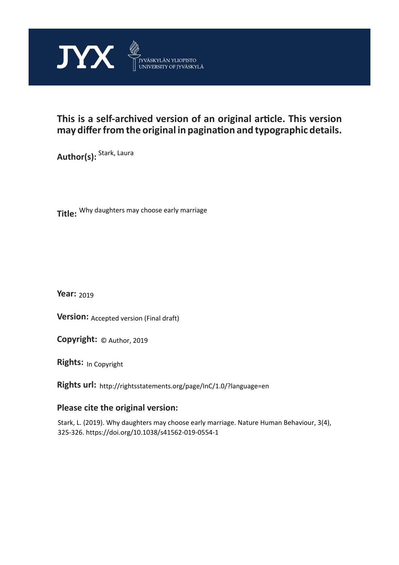

## **This is a self-archived version of an original article. This version may differ from the original in pagination and typographic details.**

**Author(s):**  Stark, Laura

**Title:**  Why daughters may choose early marriage

**Year:**  2019

**Version:** Accepted version (Final draft)<br>**Copyright:** © Author, 2019

**Copyright:**

**Rights:** In Copyright

**Rights url:**  http://rightsstatements.org/page/InC/1.0/?language=en

#### **Please cite the original version:**

Stark, L. (2019). Why daughters may choose early marriage. Nature Human Behaviour, 3(4), 325-326. https://doi.org/10.1038/s41562-019-0554-1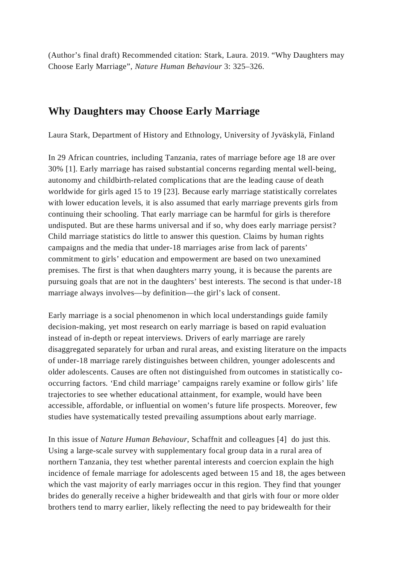(Author's final draft) Recommended citation: Stark, Laura. 2019. "Why Daughters may Choose Early Marriage", *Nature Human Behaviour* 3: 325–326.

# **Why Daughters may Choose Early Marriage**

Laura Stark, Department of History and Ethnology, University of Jyväskylä, Finland

In 29 African countries, including Tanzania, rates of marriage before age 18 are over 30% [1]. Early marriage has raised substantial concerns regarding mental well-being, autonomy and childbirth-related complications that are the leading cause of death worldwide for girls aged 15 to 19 [23]. Because early marriage statistically correlates with lower education levels, it is also assumed that early marriage prevents girls from continuing their schooling. That early marriage can be harmful for girls is therefore undisputed. But are these harms universal and if so, why does early marriage persist? Child marriage statistics do little to answer this question. Claims by human rights campaigns and the media that under-18 marriages arise from lack of parents' commitment to girls' education and empowerment are based on two unexamined premises. The first is that when daughters marry young, it is because the parents are pursuing goals that are not in the daughters' best interests. The second is that under-18 marriage always involves—by definition—the girl's lack of consent.

Early marriage is a social phenomenon in which local understandings guide family decision-making, yet most research on early marriage is based on rapid evaluation instead of in-depth or repeat interviews. Drivers of early marriage are rarely disaggregated separately for urban and rural areas, and existing literature on the impacts of under-18 marriage rarely distinguishes between children, younger adolescents and older adolescents. Causes are often not distinguished from outcomes in statistically cooccurring factors. 'End child marriage' campaigns rarely examine or follow girls' life trajectories to see whether educational attainment, for example, would have been accessible, affordable, or influential on women's future life prospects. Moreover, few studies have systematically tested prevailing assumptions about early marriage.

In this issue of *Nature Human Behaviour*, Schaffnit and colleagues [4] do just this. Using a large-scale survey with supplementary focal group data in a rural area of northern Tanzania, they test whether parental interests and coercion explain the high incidence of female marriage for adolescents aged between 15 and 18, the ages between which the vast majority of early marriages occur in this region. They find that younger brides do generally receive a higher bridewealth and that girls with four or more older brothers tend to marry earlier, likely reflecting the need to pay bridewealth for their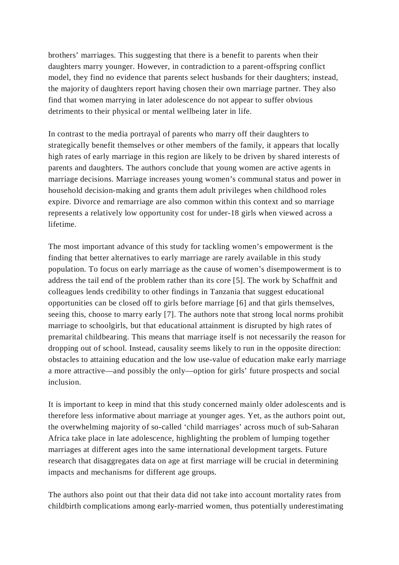brothers' marriages. This suggesting that there is a benefit to parents when their daughters marry younger. However, in contradiction to a parent-offspring conflict model, they find no evidence that parents select husbands for their daughters; instead, the majority of daughters report having chosen their own marriage partner. They also find that women marrying in later adolescence do not appear to suffer obvious detriments to their physical or mental wellbeing later in life.

In contrast to the media portrayal of parents who marry off their daughters to strategically benefit themselves or other members of the family, it appears that locally high rates of early marriage in this region are likely to be driven by shared interests of parents and daughters. The authors conclude that young women are active agents in marriage decisions. Marriage increases young women's communal status and power in household decision-making and grants them adult privileges when childhood roles expire. Divorce and remarriage are also common within this context and so marriage represents a relatively low opportunity cost for under-18 girls when viewed across a lifetime.

The most important advance of this study for tackling women's empowerment is the finding that better alternatives to early marriage are rarely available in this study population. To focus on early marriage as the cause of women's disempowerment is to address the tail end of the problem rather than its core [5]. The work by Schaffnit and colleagues lends credibility to other findings in Tanzania that suggest educational opportunities can be closed off to girls before marriage [6] and that girls themselves, seeing this, choose to marry early [7]. The authors note that strong local norms prohibit marriage to schoolgirls, but that educational attainment is disrupted by high rates of premarital childbearing. This means that marriage itself is not necessarily the reason for dropping out of school. Instead, causality seems likely to run in the opposite direction: obstacles to attaining education and the low use-value of education make early marriage a more attractive—and possibly the only—option for girls' future prospects and social inclusion.

It is important to keep in mind that this study concerned mainly older adolescents and is therefore less informative about marriage at younger ages. Yet, as the authors point out, the overwhelming majority of so-called 'child marriages' across much of sub-Saharan Africa take place in late adolescence, highlighting the problem of lumping together marriages at different ages into the same international development targets. Future research that disaggregates data on age at first marriage will be crucial in determining impacts and mechanisms for different age groups.

The authors also point out that their data did not take into account mortality rates from childbirth complications among early-married women, thus potentially underestimating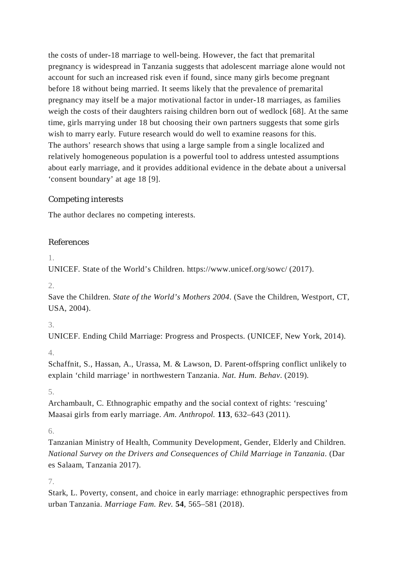the costs of under-18 marriage to well-being. However, the fact that premarital pregnancy is widespread in Tanzania suggests that adolescent marriage alone would not account for such an increased risk even if found, since many girls become pregnant before 18 without being married. It seems likely that the prevalence of premarital pregnancy may itself be a major motivational factor in under-18 marriages, as families weigh the costs of their daughters raising children born out of wedlock [68]. At the same time, girls marrying under 18 but choosing their own partners suggests that some girls wish to marry early. Future research would do well to examine reasons for this. The authors' research shows that using a large sample from a single localized and relatively homogeneous population is a powerful tool to address untested assumptions about early marriage, and it provides additional evidence in the debate about a universal 'consent boundary' at age 18 [9].

### Competing interests

The author declares no competing interests.

#### References

1.

UNICEF. State of the World's Children. https://www.unicef.org/sowc/ (2017).

2.

Save the Children. *State of the World's Mothers 2004*. (Save the Children, Westport, CT, USA, 2004).

#### 3.

UNICEF. Ending Child Marriage: Progress and Prospects. (UNICEF, New York, 2014).

### 4.

Schaffnit, S., Hassan, A., Urassa, M. & Lawson, D. Parent-offspring conflict unlikely to explain 'child marriage' in northwestern Tanzania. *Nat. Hum. Behav*. (2019).

#### 5.

Archambault, C. Ethnographic empathy and the social context of rights: 'rescuing' Maasai girls from early marriage. *Am. Anthropol.* **113**, 632–643 (2011).

6.

Tanzanian Ministry of Health, Community Development, Gender, Elderly and Children. *National Survey on the Drivers and Consequences of Child Marriage in Tanzania*. (Dar es Salaam, Tanzania 2017).

7.

Stark, L. Poverty, consent, and choice in early marriage: ethnographic perspectives from urban Tanzania. *Marriage Fam. Rev.* **54**, 565–581 (2018).